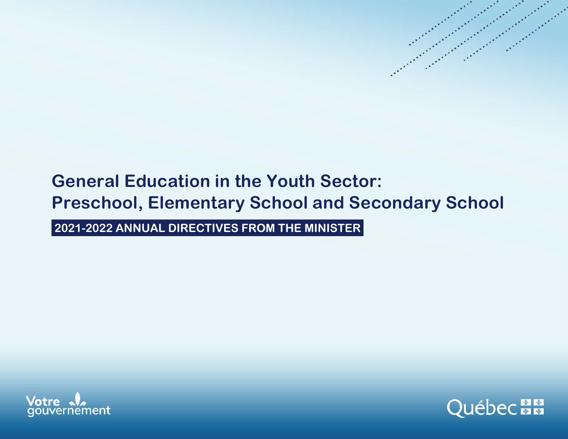# **General Education in the Youth Sector: Preschool, Elementary School and Secondary School 2021-2022 ANNUAL DIRECTIVES FROM THE MINISTER**



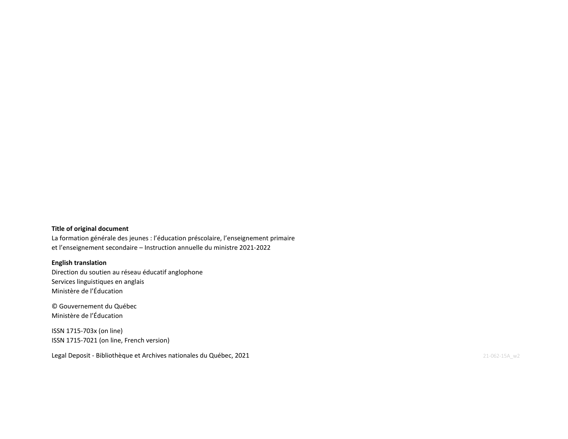#### **Title of original document**

La formation générale des jeunes : l'éducation préscolaire, l'enseignement primaire et l'enseignement secondaire – Instruction annuelle du ministre 2021-2022

#### **English translation**

Direction du soutien au réseau éducatif anglophone Services linguistiques en anglais Ministère de l'Éducation

© Gouvernement du Québec Ministère de l'Éducation

ISSN 1715-703x (on line) ISSN 1715-7021 (on line, French version)

Legal Deposit - Bibliothèque et Archives nationales du Québec, 2021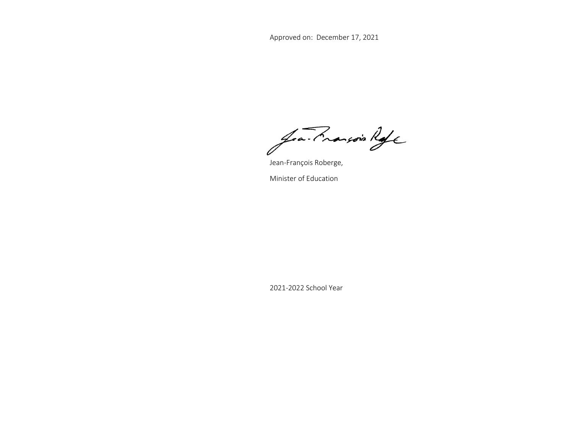Approved on: December 17, 2021

Jea-Praision Rofe

Jean-François Roberge, Minister of Education

2021-2022 School Year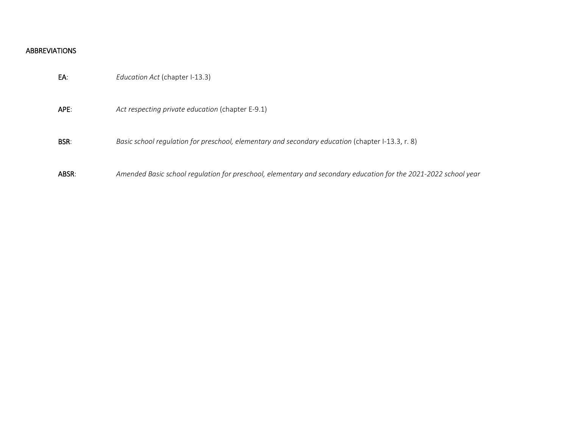# ABBREVIATIONS

| EA:         | Education Act (chapter I-13.3)                                                                   |
|-------------|--------------------------------------------------------------------------------------------------|
| APE:        | Act respecting private education (chapter E-9.1)                                                 |
| <b>BSR:</b> | Basic school regulation for preschool, elementary and secondary education (chapter I-13.3, r. 8) |

ABSR: *Amended Basic school regulation for preschool, elementary and secondary education for the 2021-2022 school year*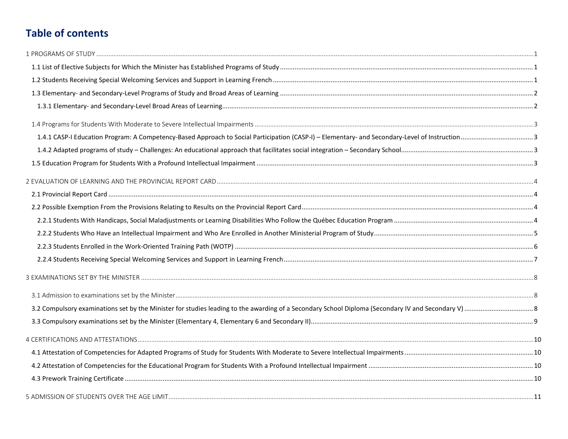# **Table of contents**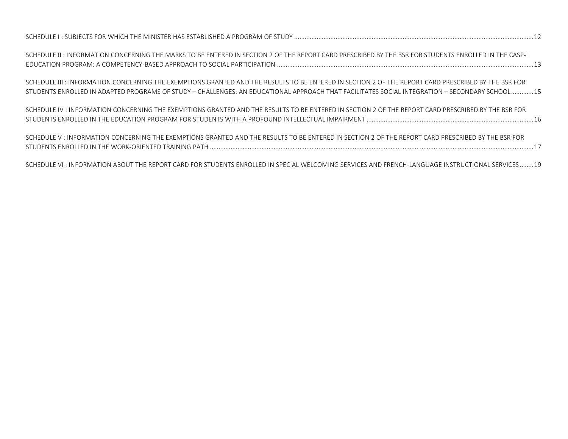| SCHEDULE II : INFORMATION CONCERNING THE MARKS TO BE ENTERED IN SECTION 2 OF THE REPORT CARD PRESCRIBED BY THE BSR FOR STUDENTS ENROLLED IN THE CASP-I                                                                                                                                                      |  |
|-------------------------------------------------------------------------------------------------------------------------------------------------------------------------------------------------------------------------------------------------------------------------------------------------------------|--|
| SCHEDULE III : INFORMATION CONCERNING THE EXEMPTIONS GRANTED AND THE RESULTS TO BE ENTERED IN SECTION 2 OF THE REPORT CARD PRESCRIBED BY THE BSR FOR<br>STUDENTS ENROLLED IN ADAPTED PROGRAMS OF STUDY – CHALLENGES: AN EDUCATIONAL APPROACH THAT FACILITATES SOCIAL INTEGRATION – SECONDARY SCHOOL ………….15 |  |
| SCHEDULE IV : INFORMATION CONCERNING THE EXEMPTIONS GRANTED AND THE RESULTS TO BE ENTERED IN SECTION 2 OF THE REPORT CARD PRESCRIBED BY THE BSR FOR                                                                                                                                                         |  |
| SCHEDULE V : INFORMATION CONCERNING THE EXEMPTIONS GRANTED AND THE RESULTS TO BE ENTERED IN SECTION 2 OF THE REPORT CARD PRESCRIBED BY THE BSR FOR                                                                                                                                                          |  |
| SCHEDULE VI: INFORMATION ABOUT THE REPORT CARD FOR STUDENTS ENROLLED IN SPECIAL WELCOMING SERVICES AND FRENCH-LANGUAGE INSTRUCTIONAL SERVICES19                                                                                                                                                             |  |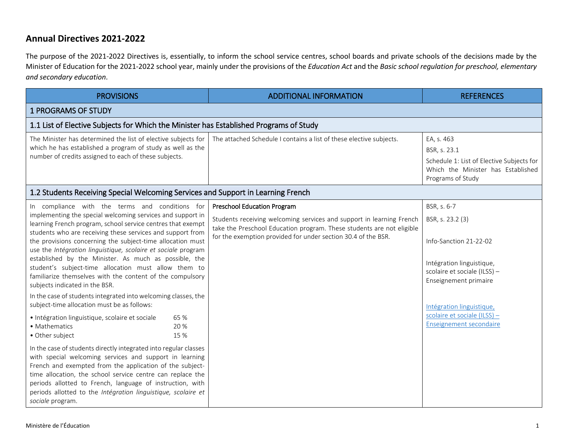# **Annual Directives 2021-2022**

The purpose of the 2021-2022 Directives is, essentially, to inform the school service centres, school boards and private schools of the decisions made by the Minister of Education for the 2021-2022 school year, mainly under the provisions of the *Education Act* and the *Basic school regulation for preschool, elementary and secondary education*.

<span id="page-6-2"></span><span id="page-6-1"></span><span id="page-6-0"></span>

| <b>PROVISIONS</b>                                                                                                                                                                                                                                                                                                                                                                                                                                                                                                                                                                                                                                                                                                                                                                                                                                                                                                                                                                                                                                                                                                                                                                                                                    | <b>ADDITIONAL INFORMATION</b>                                                                                                                                                                                                                 | <b>REFERENCES</b>                                                                                                                                                                                                                       |
|--------------------------------------------------------------------------------------------------------------------------------------------------------------------------------------------------------------------------------------------------------------------------------------------------------------------------------------------------------------------------------------------------------------------------------------------------------------------------------------------------------------------------------------------------------------------------------------------------------------------------------------------------------------------------------------------------------------------------------------------------------------------------------------------------------------------------------------------------------------------------------------------------------------------------------------------------------------------------------------------------------------------------------------------------------------------------------------------------------------------------------------------------------------------------------------------------------------------------------------|-----------------------------------------------------------------------------------------------------------------------------------------------------------------------------------------------------------------------------------------------|-----------------------------------------------------------------------------------------------------------------------------------------------------------------------------------------------------------------------------------------|
| <b>1 PROGRAMS OF STUDY</b>                                                                                                                                                                                                                                                                                                                                                                                                                                                                                                                                                                                                                                                                                                                                                                                                                                                                                                                                                                                                                                                                                                                                                                                                           |                                                                                                                                                                                                                                               |                                                                                                                                                                                                                                         |
| 1.1 List of Elective Subjects for Which the Minister has Established Programs of Study                                                                                                                                                                                                                                                                                                                                                                                                                                                                                                                                                                                                                                                                                                                                                                                                                                                                                                                                                                                                                                                                                                                                               |                                                                                                                                                                                                                                               |                                                                                                                                                                                                                                         |
| The Minister has determined the list of elective subjects for<br>which he has established a program of study as well as the<br>number of credits assigned to each of these subjects.                                                                                                                                                                                                                                                                                                                                                                                                                                                                                                                                                                                                                                                                                                                                                                                                                                                                                                                                                                                                                                                 | The attached Schedule I contains a list of these elective subjects.                                                                                                                                                                           | EA, s. 463<br>BSR, s. 23.1<br>Schedule 1: List of Elective Subjects for<br>Which the Minister has Established<br>Programs of Study                                                                                                      |
| 1.2 Students Receiving Special Welcoming Services and Support in Learning French                                                                                                                                                                                                                                                                                                                                                                                                                                                                                                                                                                                                                                                                                                                                                                                                                                                                                                                                                                                                                                                                                                                                                     |                                                                                                                                                                                                                                               |                                                                                                                                                                                                                                         |
| In compliance with the terms and conditions for<br>implementing the special welcoming services and support in<br>learning French program, school service centres that exempt<br>students who are receiving these services and support from<br>the provisions concerning the subject-time allocation must<br>use the Intégration linguistique, scolaire et sociale program<br>established by the Minister. As much as possible, the<br>student's subject-time allocation must allow them to<br>familiarize themselves with the content of the compulsory<br>subjects indicated in the BSR.<br>In the case of students integrated into welcoming classes, the<br>subject-time allocation must be as follows:<br>· Intégration linguistique, scolaire et sociale<br>65 %<br>• Mathematics<br>20 %<br>· Other subject<br>15 %<br>In the case of students directly integrated into regular classes<br>with special welcoming services and support in learning<br>French and exempted from the application of the subject-<br>time allocation, the school service centre can replace the<br>periods allotted to French, language of instruction, with<br>periods allotted to the Intégration linguistique, scolaire et<br>sociale program. | Preschool Education Program<br>Students receiving welcoming services and support in learning French<br>take the Preschool Education program. These students are not eligible<br>for the exemption provided for under section 30.4 of the BSR. | BSR, s. 6-7<br>BSR, s. 23.2 (3)<br>Info-Sanction 21-22-02<br>Intégration linguistique,<br>scolaire et sociale (ILSS) -<br>Enseignement primaire<br>Intégration linguistique,<br>scolaire et sociale (ILSS) -<br>Enseignement secondaire |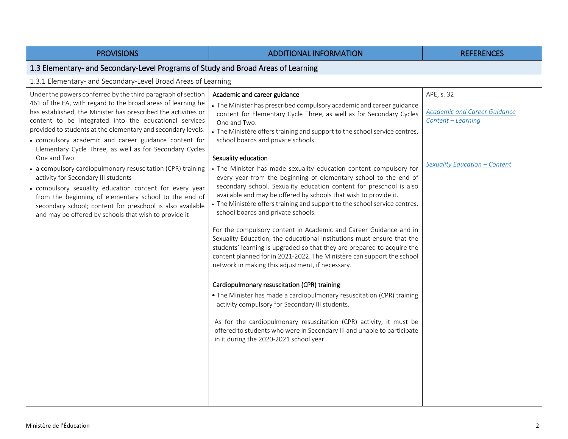<span id="page-7-1"></span><span id="page-7-0"></span>

| <b>PROVISIONS</b>                                                                                                                                                                                                                                                                                                                                                                                                                                                                                                                                                                                                                                                                                                                                                                                           | <b>ADDITIONAL INFORMATION</b>                                                                                                                                                                                                                                                                                                                                                                                                                                                                                                                                                                                                                                                                                                                                                                                                                                                                                                                                                                                                                                                                                                                                                                                                                                                                                                                                                                                                                                                      | <b>REFERENCES</b>                                                                                 |
|-------------------------------------------------------------------------------------------------------------------------------------------------------------------------------------------------------------------------------------------------------------------------------------------------------------------------------------------------------------------------------------------------------------------------------------------------------------------------------------------------------------------------------------------------------------------------------------------------------------------------------------------------------------------------------------------------------------------------------------------------------------------------------------------------------------|------------------------------------------------------------------------------------------------------------------------------------------------------------------------------------------------------------------------------------------------------------------------------------------------------------------------------------------------------------------------------------------------------------------------------------------------------------------------------------------------------------------------------------------------------------------------------------------------------------------------------------------------------------------------------------------------------------------------------------------------------------------------------------------------------------------------------------------------------------------------------------------------------------------------------------------------------------------------------------------------------------------------------------------------------------------------------------------------------------------------------------------------------------------------------------------------------------------------------------------------------------------------------------------------------------------------------------------------------------------------------------------------------------------------------------------------------------------------------------|---------------------------------------------------------------------------------------------------|
| 1.3 Elementary- and Secondary-Level Programs of Study and Broad Areas of Learning                                                                                                                                                                                                                                                                                                                                                                                                                                                                                                                                                                                                                                                                                                                           |                                                                                                                                                                                                                                                                                                                                                                                                                                                                                                                                                                                                                                                                                                                                                                                                                                                                                                                                                                                                                                                                                                                                                                                                                                                                                                                                                                                                                                                                                    |                                                                                                   |
| 1.3.1 Elementary- and Secondary-Level Broad Areas of Learning                                                                                                                                                                                                                                                                                                                                                                                                                                                                                                                                                                                                                                                                                                                                               |                                                                                                                                                                                                                                                                                                                                                                                                                                                                                                                                                                                                                                                                                                                                                                                                                                                                                                                                                                                                                                                                                                                                                                                                                                                                                                                                                                                                                                                                                    |                                                                                                   |
| Under the powers conferred by the third paragraph of section<br>461 of the EA, with regard to the broad areas of learning he<br>has established, the Minister has prescribed the activities or<br>content to be integrated into the educational services<br>provided to students at the elementary and secondary levels:<br>• compulsory academic and career guidance content for<br>Elementary Cycle Three, as well as for Secondary Cycles<br>One and Two<br>• a compulsory cardiopulmonary resuscitation (CPR) training<br>activity for Secondary III students<br>• compulsory sexuality education content for every year<br>from the beginning of elementary school to the end of<br>secondary school; content for preschool is also available<br>and may be offered by schools that wish to provide it | Academic and career guidance<br>• The Minister has prescribed compulsory academic and career guidance<br>content for Elementary Cycle Three, as well as for Secondary Cycles<br>One and Two.<br>• The Ministère offers training and support to the school service centres,<br>school boards and private schools.<br>Sexuality education<br>• The Minister has made sexuality education content compulsory for<br>every year from the beginning of elementary school to the end of<br>secondary school. Sexuality education content for preschool is also<br>available and may be offered by schools that wish to provide it.<br>• The Ministère offers training and support to the school service centres,<br>school boards and private schools.<br>For the compulsory content in Academic and Career Guidance and in<br>Sexuality Education, the educational institutions must ensure that the<br>students' learning is upgraded so that they are prepared to acquire the<br>content planned for in 2021-2022. The Ministère can support the school<br>network in making this adjustment, if necessary.<br>Cardiopulmonary resuscitation (CPR) training<br>• The Minister has made a cardiopulmonary resuscitation (CPR) training<br>activity compulsory for Secondary III students.<br>As for the cardiopulmonary resuscitation (CPR) activity, it must be<br>offered to students who were in Secondary III and unable to participate<br>in it during the 2020-2021 school year. | APE, s. 32<br>Academic and Career Guidance<br>Content - Learning<br>Sexuality Education - Content |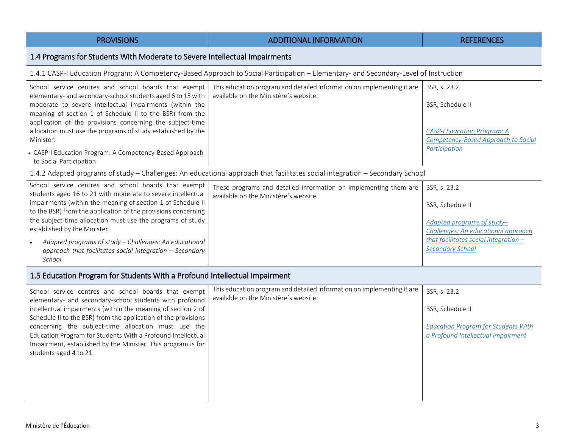<span id="page-8-3"></span><span id="page-8-2"></span><span id="page-8-1"></span><span id="page-8-0"></span>

| <b>PROVISIONS</b>                                                                                                                                                                                                                                                                                                                                                                                                                                                                              | <b>ADDITIONAL INFORMATION</b>                                                                                                        | <b>REFERENCES</b>                                                                                                                                                         |
|------------------------------------------------------------------------------------------------------------------------------------------------------------------------------------------------------------------------------------------------------------------------------------------------------------------------------------------------------------------------------------------------------------------------------------------------------------------------------------------------|--------------------------------------------------------------------------------------------------------------------------------------|---------------------------------------------------------------------------------------------------------------------------------------------------------------------------|
| 1.4 Programs for Students With Moderate to Severe Intellectual Impairments                                                                                                                                                                                                                                                                                                                                                                                                                     |                                                                                                                                      |                                                                                                                                                                           |
|                                                                                                                                                                                                                                                                                                                                                                                                                                                                                                | 1.4.1 CASP-I Education Program: A Competency-Based Approach to Social Participation - Elementary- and Secondary-Level of Instruction |                                                                                                                                                                           |
| School service centres and school boards that exempt<br>elementary- and secondary-school students aged 6 to 15 with<br>moderate to severe intellectual impairments (within the<br>meaning of section 1 of Schedule II to the BSR) from the<br>application of the provisions concerning the subject-time<br>allocation must use the programs of study established by the                                                                                                                        | This education program and detailed information on implementing it are<br>available on the Ministère's website.                      | BSR, s. 23.2<br>BSR, Schedule II<br><b>CASP-I Education Program: A</b>                                                                                                    |
| Minister:<br>• CASP-I Education Program: A Competency-Based Approach<br>to Social Participation                                                                                                                                                                                                                                                                                                                                                                                                |                                                                                                                                      | Competency-Based Approach to Social<br>Participation                                                                                                                      |
|                                                                                                                                                                                                                                                                                                                                                                                                                                                                                                | 1.4.2 Adapted programs of study - Challenges: An educational approach that facilitates social integration - Secondary School         |                                                                                                                                                                           |
| School service centres and school boards that exempt<br>students aged 16 to 21 with moderate to severe intellectual<br>impairments (within the meaning of section 1 of Schedule II<br>to the BSR) from the application of the provisions concerning<br>the subject-time allocation must use the programs of study<br>established by the Minister:<br>Adapted programs of study - Challenges: An educational<br>$\bullet$<br>approach that facilitates social integration - Secondary<br>School | These programs and detailed information on implementing them are<br>available on the Ministère's website.                            | BSR, s. 23.2<br>BSR, Schedule II<br>Adapted programs of study-<br>Challenges: An educational approach<br>that facilitates social integration -<br><b>Secondary School</b> |
| 1.5 Education Program for Students With a Profound Intellectual Impairment                                                                                                                                                                                                                                                                                                                                                                                                                     |                                                                                                                                      |                                                                                                                                                                           |
| School service centres and school boards that exempt<br>elementary- and secondary-school students with profound<br>intellectual impairments (within the meaning of section 2 of<br>Schedule II to the BSR) from the application of the provisions<br>concerning the subject-time allocation must use the<br>Education Program for Students With a Profound Intellectual<br>Impairment, established by the Minister. This program is for<br>students aged 4 to 21.                              | This education program and detailed information on implementing it are<br>available on the Ministère's website.                      | BSR, s. 23.2<br>BSR, Schedule II<br><b>Education Program for Students With</b><br>a Profound Intellectual Impairment                                                      |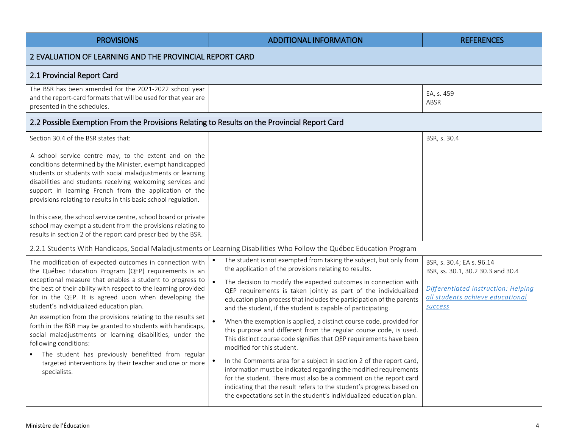<span id="page-9-3"></span><span id="page-9-2"></span><span id="page-9-1"></span><span id="page-9-0"></span>

| <b>PROVISIONS</b>                                                                                                                                                                                                                                                                                                                                      | <b>ADDITIONAL INFORMATION</b>                                                                                                                                                                                                                                                                                                                                                                                                                                                                                                                                                                                 | <b>REFERENCES</b>                                                                                                                                    |  |
|--------------------------------------------------------------------------------------------------------------------------------------------------------------------------------------------------------------------------------------------------------------------------------------------------------------------------------------------------------|---------------------------------------------------------------------------------------------------------------------------------------------------------------------------------------------------------------------------------------------------------------------------------------------------------------------------------------------------------------------------------------------------------------------------------------------------------------------------------------------------------------------------------------------------------------------------------------------------------------|------------------------------------------------------------------------------------------------------------------------------------------------------|--|
| 2 EVALUATION OF LEARNING AND THE PROVINCIAL REPORT CARD                                                                                                                                                                                                                                                                                                |                                                                                                                                                                                                                                                                                                                                                                                                                                                                                                                                                                                                               |                                                                                                                                                      |  |
| 2.1 Provincial Report Card                                                                                                                                                                                                                                                                                                                             |                                                                                                                                                                                                                                                                                                                                                                                                                                                                                                                                                                                                               |                                                                                                                                                      |  |
| The BSR has been amended for the 2021-2022 school year<br>and the report-card formats that will be used for that year are<br>presented in the schedules.                                                                                                                                                                                               |                                                                                                                                                                                                                                                                                                                                                                                                                                                                                                                                                                                                               | EA, s. 459<br>ABSR                                                                                                                                   |  |
| 2.2 Possible Exemption From the Provisions Relating to Results on the Provincial Report Card                                                                                                                                                                                                                                                           |                                                                                                                                                                                                                                                                                                                                                                                                                                                                                                                                                                                                               |                                                                                                                                                      |  |
| Section 30.4 of the BSR states that:<br>A school service centre may, to the extent and on the                                                                                                                                                                                                                                                          |                                                                                                                                                                                                                                                                                                                                                                                                                                                                                                                                                                                                               | BSR, s. 30.4                                                                                                                                         |  |
| conditions determined by the Minister, exempt handicapped<br>students or students with social maladjustments or learning<br>disabilities and students receiving welcoming services and<br>support in learning French from the application of the<br>provisions relating to results in this basic school regulation.                                    |                                                                                                                                                                                                                                                                                                                                                                                                                                                                                                                                                                                                               |                                                                                                                                                      |  |
| In this case, the school service centre, school board or private<br>school may exempt a student from the provisions relating to<br>results in section 2 of the report card prescribed by the BSR.                                                                                                                                                      |                                                                                                                                                                                                                                                                                                                                                                                                                                                                                                                                                                                                               |                                                                                                                                                      |  |
|                                                                                                                                                                                                                                                                                                                                                        | 2.2.1 Students With Handicaps, Social Maladjustments or Learning Disabilities Who Follow the Québec Education Program                                                                                                                                                                                                                                                                                                                                                                                                                                                                                         |                                                                                                                                                      |  |
| The modification of expected outcomes in connection with<br>the Québec Education Program (QEP) requirements is an<br>exceptional measure that enables a student to progress to<br>the best of their ability with respect to the learning provided<br>for in the QEP. It is agreed upon when developing the<br>student's individualized education plan. | The student is not exempted from taking the subject, but only from<br>the application of the provisions relating to results.<br>The decision to modify the expected outcomes in connection with<br>QEP requirements is taken jointly as part of the individualized<br>education plan process that includes the participation of the parents<br>and the student, if the student is capable of participating.                                                                                                                                                                                                   | BSR, s. 30.4; EA s. 96.14<br>BSR, ss. 30.1, 30.2 30.3 and 30.4<br>Differentiated Instruction: Helping<br>all students achieve educational<br>success |  |
| An exemption from the provisions relating to the results set<br>forth in the BSR may be granted to students with handicaps,<br>social maladjustments or learning disabilities, under the<br>following conditions:<br>The student has previously benefitted from regular<br>targeted interventions by their teacher and one or more<br>specialists.     | When the exemption is applied, a distinct course code, provided for<br>this purpose and different from the regular course code, is used.<br>This distinct course code signifies that QEP requirements have been<br>modified for this student.<br>In the Comments area for a subject in section 2 of the report card,<br>information must be indicated regarding the modified requirements<br>for the student. There must also be a comment on the report card<br>indicating that the result refers to the student's progress based on<br>the expectations set in the student's individualized education plan. |                                                                                                                                                      |  |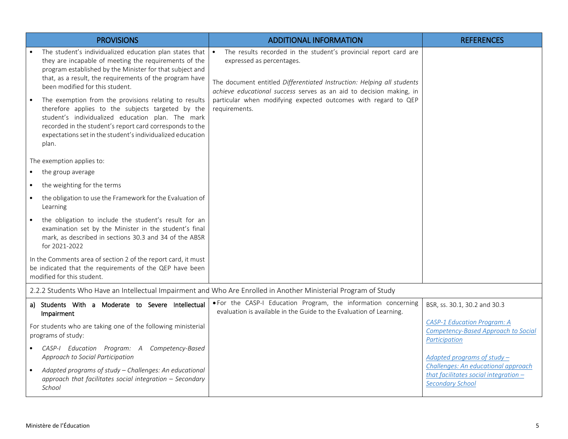<span id="page-10-0"></span>

| <b>PROVISIONS</b>                                                                                                                                                                                                                                                                                                                                                                                                                                                                                                                                                                | <b>ADDITIONAL INFORMATION</b>                                                                                                                                                                                                                                                                                                                  | <b>REFERENCES</b>                                                                                       |
|----------------------------------------------------------------------------------------------------------------------------------------------------------------------------------------------------------------------------------------------------------------------------------------------------------------------------------------------------------------------------------------------------------------------------------------------------------------------------------------------------------------------------------------------------------------------------------|------------------------------------------------------------------------------------------------------------------------------------------------------------------------------------------------------------------------------------------------------------------------------------------------------------------------------------------------|---------------------------------------------------------------------------------------------------------|
| The student's individualized education plan states that<br>they are incapable of meeting the requirements of the<br>program established by the Minister for that subject and<br>that, as a result, the requirements of the program have<br>been modified for this student.<br>The exemption from the provisions relating to results<br>therefore applies to the subjects targeted by the<br>student's individualized education plan. The mark<br>recorded in the student's report card corresponds to the<br>expectations set in the student's individualized education<br>plan. | The results recorded in the student's provincial report card are<br>$\bullet$<br>expressed as percentages.<br>The document entitled Differentiated Instruction: Helping all students<br>achieve educational success serves as an aid to decision making, in<br>particular when modifying expected outcomes with regard to QEP<br>requirements. |                                                                                                         |
| The exemption applies to:                                                                                                                                                                                                                                                                                                                                                                                                                                                                                                                                                        |                                                                                                                                                                                                                                                                                                                                                |                                                                                                         |
| the group average                                                                                                                                                                                                                                                                                                                                                                                                                                                                                                                                                                |                                                                                                                                                                                                                                                                                                                                                |                                                                                                         |
| the weighting for the terms<br>$\bullet$                                                                                                                                                                                                                                                                                                                                                                                                                                                                                                                                         |                                                                                                                                                                                                                                                                                                                                                |                                                                                                         |
| the obligation to use the Framework for the Evaluation of<br>Learning                                                                                                                                                                                                                                                                                                                                                                                                                                                                                                            |                                                                                                                                                                                                                                                                                                                                                |                                                                                                         |
| the obligation to include the student's result for an<br>examination set by the Minister in the student's final<br>mark, as described in sections 30.3 and 34 of the ABSR<br>for 2021-2022                                                                                                                                                                                                                                                                                                                                                                                       |                                                                                                                                                                                                                                                                                                                                                |                                                                                                         |
| In the Comments area of section 2 of the report card, it must<br>be indicated that the requirements of the QEP have been<br>modified for this student.                                                                                                                                                                                                                                                                                                                                                                                                                           |                                                                                                                                                                                                                                                                                                                                                |                                                                                                         |
|                                                                                                                                                                                                                                                                                                                                                                                                                                                                                                                                                                                  | 2.2.2 Students Who Have an Intellectual Impairment and Who Are Enrolled in Another Ministerial Program of Study                                                                                                                                                                                                                                |                                                                                                         |
| a) Students With a Moderate to Severe Intellectual<br>Impairment                                                                                                                                                                                                                                                                                                                                                                                                                                                                                                                 | . For the CASP-I Education Program, the information concerning<br>evaluation is available in the Guide to the Evaluation of Learning.                                                                                                                                                                                                          | BSR, ss. 30.1, 30.2 and 30.3                                                                            |
| For students who are taking one of the following ministerial<br>programs of study:                                                                                                                                                                                                                                                                                                                                                                                                                                                                                               |                                                                                                                                                                                                                                                                                                                                                | CASP-1 Education Program: A<br>Competency-Based Approach to Social<br>Participation                     |
| CASP-I Education Program: A Competency-Based<br>Approach to Social Participation                                                                                                                                                                                                                                                                                                                                                                                                                                                                                                 |                                                                                                                                                                                                                                                                                                                                                | Adapted programs of study -                                                                             |
| Adapted programs of study - Challenges: An educational<br>$\bullet$<br>approach that facilitates social integration $-$ Secondary<br>School                                                                                                                                                                                                                                                                                                                                                                                                                                      |                                                                                                                                                                                                                                                                                                                                                | Challenges: An educational approach<br>that facilitates social integration -<br><b>Secondary School</b> |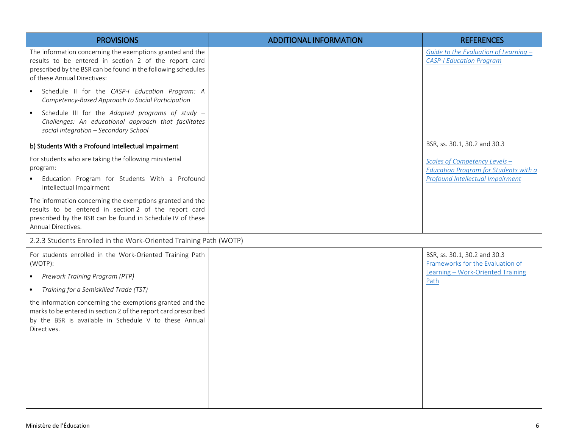<span id="page-11-0"></span>

| <b>PROVISIONS</b>                                                                                                                                                                                                  | <b>ADDITIONAL INFORMATION</b> | <b>REFERENCES</b>                                                                                             |
|--------------------------------------------------------------------------------------------------------------------------------------------------------------------------------------------------------------------|-------------------------------|---------------------------------------------------------------------------------------------------------------|
| The information concerning the exemptions granted and the<br>results to be entered in section 2 of the report card<br>prescribed by the BSR can be found in the following schedules<br>of these Annual Directives: |                               | Guide to the Evaluation of Learning -<br><b>CASP-I Education Program</b>                                      |
| Schedule II for the CASP-I Education Program: A<br>Competency-Based Approach to Social Participation                                                                                                               |                               |                                                                                                               |
| Schedule III for the Adapted programs of study -<br>$\bullet$<br>Challenges: An educational approach that facilitates<br>social integration - Secondary School                                                     |                               |                                                                                                               |
| b) Students With a Profound Intellectual Impairment                                                                                                                                                                |                               | BSR, ss. 30.1, 30.2 and 30.3                                                                                  |
| For students who are taking the following ministerial<br>program:<br>Education Program for Students With a Profound<br>Intellectual Impairment                                                                     |                               | Scales of Competency Levels-<br>Education Program for Students with a<br>Profound Intellectual Impairment     |
| The information concerning the exemptions granted and the<br>results to be entered in section 2 of the report card<br>prescribed by the BSR can be found in Schedule IV of these<br>Annual Directives.             |                               |                                                                                                               |
| 2.2.3 Students Enrolled in the Work-Oriented Training Path (WOTP)                                                                                                                                                  |                               |                                                                                                               |
| For students enrolled in the Work-Oriented Training Path<br>(WOTP):<br>Prework Training Program (PTP)<br>$\bullet$<br>Training for a Semiskilled Trade (TST)<br>$\bullet$                                          |                               | BSR, ss. 30.1, 30.2 and 30.3<br>Frameworks for the Evaluation of<br>Learning - Work-Oriented Training<br>Path |
| the information concerning the exemptions granted and the<br>marks to be entered in section 2 of the report card prescribed<br>by the BSR is available in Schedule V to these Annual<br>Directives.                |                               |                                                                                                               |
|                                                                                                                                                                                                                    |                               |                                                                                                               |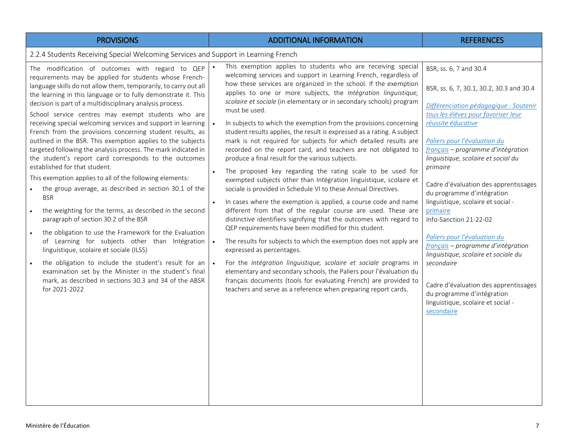<span id="page-12-0"></span>

| <b>PROVISIONS</b>                                                                                                                                                                                                                                                                                                                                                                                                                                                                                                                                                                                                                                                                                                                                                                                                                                                                                                                                                                                                                                                                                                                                                                                                                                                                                                                                          | <b>ADDITIONAL INFORMATION</b>                                                                                                                                                                                                                                                                                                                                                                                                                                                                                                                                                                                                                                                                                                                                                                                                                                                                                                                                                                                                                                                                                                                                                                                                                                                                                                                                                                                                                                                                                                                                                                    | <b>REFERENCES</b>                                                                                                                                                                                                                                                                                                                                                                                                                                                                                                                                                                                                                                                                                            |  |
|------------------------------------------------------------------------------------------------------------------------------------------------------------------------------------------------------------------------------------------------------------------------------------------------------------------------------------------------------------------------------------------------------------------------------------------------------------------------------------------------------------------------------------------------------------------------------------------------------------------------------------------------------------------------------------------------------------------------------------------------------------------------------------------------------------------------------------------------------------------------------------------------------------------------------------------------------------------------------------------------------------------------------------------------------------------------------------------------------------------------------------------------------------------------------------------------------------------------------------------------------------------------------------------------------------------------------------------------------------|--------------------------------------------------------------------------------------------------------------------------------------------------------------------------------------------------------------------------------------------------------------------------------------------------------------------------------------------------------------------------------------------------------------------------------------------------------------------------------------------------------------------------------------------------------------------------------------------------------------------------------------------------------------------------------------------------------------------------------------------------------------------------------------------------------------------------------------------------------------------------------------------------------------------------------------------------------------------------------------------------------------------------------------------------------------------------------------------------------------------------------------------------------------------------------------------------------------------------------------------------------------------------------------------------------------------------------------------------------------------------------------------------------------------------------------------------------------------------------------------------------------------------------------------------------------------------------------------------|--------------------------------------------------------------------------------------------------------------------------------------------------------------------------------------------------------------------------------------------------------------------------------------------------------------------------------------------------------------------------------------------------------------------------------------------------------------------------------------------------------------------------------------------------------------------------------------------------------------------------------------------------------------------------------------------------------------|--|
| 2.2.4 Students Receiving Special Welcoming Services and Support in Learning French                                                                                                                                                                                                                                                                                                                                                                                                                                                                                                                                                                                                                                                                                                                                                                                                                                                                                                                                                                                                                                                                                                                                                                                                                                                                         |                                                                                                                                                                                                                                                                                                                                                                                                                                                                                                                                                                                                                                                                                                                                                                                                                                                                                                                                                                                                                                                                                                                                                                                                                                                                                                                                                                                                                                                                                                                                                                                                  |                                                                                                                                                                                                                                                                                                                                                                                                                                                                                                                                                                                                                                                                                                              |  |
| The modification of outcomes with regard to QEP<br>requirements may be applied for students whose French-<br>language skills do not allow them, temporarily, to carry out all<br>the learning in this language or to fully demonstrate it. This<br>decision is part of a multidisciplinary analysis process.<br>School service centres may exempt students who are<br>receiving special welcoming services and support in learning<br>French from the provisions concerning student results, as<br>outlined in the BSR. This exemption applies to the subjects<br>targeted following the analysis process. The mark indicated in<br>the student's report card corresponds to the outcomes<br>established for that student.<br>This exemption applies to all of the following elements:<br>the group average, as described in section 30.1 of the<br>$\bullet$<br><b>BSR</b><br>the weighting for the terms, as described in the second<br>paragraph of section 30.2 of the BSR<br>the obligation to use the Framework for the Evaluation<br>of Learning for subjects other than Intégration<br>linguistique, scolaire et sociale (ILSS)<br>the obligation to include the student's result for an $\cdot$<br>$\bullet$<br>examination set by the Minister in the student's final<br>mark, as described in sections 30.3 and 34 of the ABSR<br>for 2021-2022 | This exemption applies to students who are receiving special<br>$\bullet$<br>welcoming services and support in Learning French, regardless of<br>how these services are organized in the school. If the exemption<br>applies to one or more subjects, the Intégration linguistique,<br>scolaire et sociale (in elementary or in secondary schools) program<br>must be used.<br>In subjects to which the exemption from the provisions concerning<br>student results applies, the result is expressed as a rating. A subject<br>mark is not required for subjects for which detailed results are<br>recorded on the report card, and teachers are not obligated to<br>produce a final result for the various subjects.<br>The proposed key regarding the rating scale to be used for<br>$\bullet$<br>exempted subjects other than Intégration linguistique, scolaire et<br>sociale is provided in Schedule VI to these Annual Directives.<br>In cases where the exemption is applied, a course code and name<br>different from that of the regular course are used. These are<br>distinctive identifiers signifying that the outcomes with regard to<br>QEP requirements have been modified for this student.<br>The results for subjects to which the exemption does not apply are<br>expressed as percentages.<br>For the Intégration linguistique, scolaire et sociale programs in<br>elementary and secondary schools, the Paliers pour l'évaluation du<br>français documents (tools for evaluating French) are provided to<br>teachers and serve as a reference when preparing report cards. | BSR, ss. 6, 7 and 30.4<br>BSR, ss. 6, 7, 30.1, 30.2, 30.3 and 30.4<br>Différenciation pédagogique : Soutenir<br>tous les élèves pour favoriser leur<br>réussite éducative<br>Paliers pour l'évaluation du<br>français - programme d'intégration<br>linguistique, scolaire et social du<br>primaire<br>Cadre d'évaluation des apprentissages<br>du programme d'intégration<br>linguistique, scolaire et social -<br>primaire<br>Info-Sanction 21-22-02<br>Paliers pour l'évaluation du<br>français - programme d'intégration<br>linguistique, scolaire et sociale du<br>secondaire<br>Cadre d'évaluation des apprentissages<br>du programme d'intégration<br>linguistique, scolaire et social -<br>secondaire |  |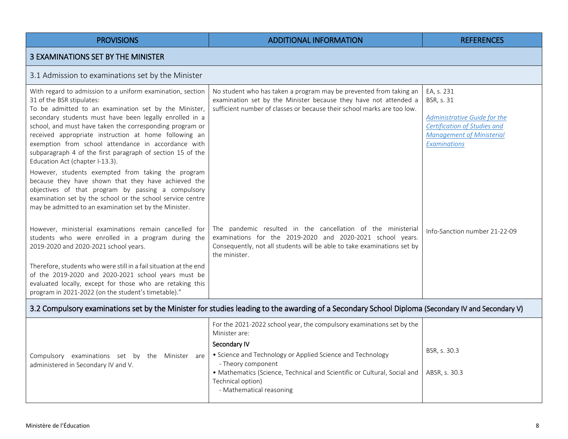<span id="page-13-2"></span><span id="page-13-1"></span><span id="page-13-0"></span>

| <b>PROVISIONS</b>                                                                                                                                                                                                                                                                                                                                                                                                                                                                        | <b>ADDITIONAL INFORMATION</b>                                                                                                                                                                                          | <b>REFERENCES</b>                                                                                                                            |
|------------------------------------------------------------------------------------------------------------------------------------------------------------------------------------------------------------------------------------------------------------------------------------------------------------------------------------------------------------------------------------------------------------------------------------------------------------------------------------------|------------------------------------------------------------------------------------------------------------------------------------------------------------------------------------------------------------------------|----------------------------------------------------------------------------------------------------------------------------------------------|
| 3 EXAMINATIONS SET BY THE MINISTER                                                                                                                                                                                                                                                                                                                                                                                                                                                       |                                                                                                                                                                                                                        |                                                                                                                                              |
| 3.1 Admission to examinations set by the Minister                                                                                                                                                                                                                                                                                                                                                                                                                                        |                                                                                                                                                                                                                        |                                                                                                                                              |
| With regard to admission to a uniform examination, section<br>31 of the BSR stipulates:<br>To be admitted to an examination set by the Minister,<br>secondary students must have been legally enrolled in a<br>school, and must have taken the corresponding program or<br>received appropriate instruction at home following an<br>exemption from school attendance in accordance with<br>subparagraph 4 of the first paragraph of section 15 of the<br>Education Act (chapter I-13.3). | No student who has taken a program may be prevented from taking an<br>examination set by the Minister because they have not attended a<br>sufficient number of classes or because their school marks are too low.      | EA, s. 231<br>BSR, s. 31<br>Administrative Guide for the<br>Certification of Studies and<br><b>Management of Ministerial</b><br>Examinations |
| However, students exempted from taking the program<br>because they have shown that they have achieved the<br>objectives of that program by passing a compulsory<br>examination set by the school or the school service centre<br>may be admitted to an examination set by the Minister.<br>However, ministerial examinations remain cancelled for<br>students who were enrolled in a program during the<br>2019-2020 and 2020-2021 school years.                                         | The pandemic resulted in the cancellation of the ministerial<br>examinations for the 2019-2020 and 2020-2021 school years.<br>Consequently, not all students will be able to take examinations set by<br>the minister. | Info-Sanction number 21-22-09                                                                                                                |
| Therefore, students who were still in a fail situation at the end<br>of the 2019-2020 and 2020-2021 school years must be<br>evaluated locally, except for those who are retaking this<br>program in 2021-2022 (on the student's timetable)."                                                                                                                                                                                                                                             |                                                                                                                                                                                                                        |                                                                                                                                              |
|                                                                                                                                                                                                                                                                                                                                                                                                                                                                                          | 3.2 Compulsory examinations set by the Minister for studies leading to the awarding of a Secondary School Diploma (Secondary IV and Secondary V)                                                                       |                                                                                                                                              |
|                                                                                                                                                                                                                                                                                                                                                                                                                                                                                          | For the 2021-2022 school year, the compulsory examinations set by the<br>Minister are:<br>Secondary IV                                                                                                                 | BSR, s. 30.3                                                                                                                                 |
| Compulsory examinations set by the Minister are<br>administered in Secondary IV and V.                                                                                                                                                                                                                                                                                                                                                                                                   | • Science and Technology or Applied Science and Technology<br>- Theory component<br>• Mathematics (Science, Technical and Scientific or Cultural, Social and<br>Technical option)<br>- Mathematical reasoning          | ABSR, s. 30.3                                                                                                                                |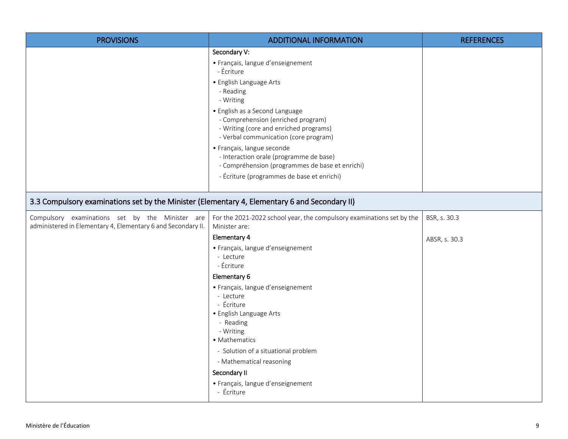<span id="page-14-0"></span>

| <b>PROVISIONS</b>                                                                                               | <b>ADDITIONAL INFORMATION</b>                                                                                                                                                                                                                                                                                                                                                                                                                             | <b>REFERENCES</b> |
|-----------------------------------------------------------------------------------------------------------------|-----------------------------------------------------------------------------------------------------------------------------------------------------------------------------------------------------------------------------------------------------------------------------------------------------------------------------------------------------------------------------------------------------------------------------------------------------------|-------------------|
|                                                                                                                 | Secondary V:<br>· Français, langue d'enseignement<br>- Écriture<br>• English Language Arts<br>- Reading<br>- Writing<br>• English as a Second Language<br>- Comprehension (enriched program)<br>- Writing (core and enriched programs)<br>- Verbal communication (core program)<br>· Français, langue seconde<br>- Interaction orale (programme de base)<br>- Compréhension (programmes de base et enrichi)<br>- Écriture (programmes de base et enrichi) |                   |
| 3.3 Compulsory examinations set by the Minister (Elementary 4, Elementary 6 and Secondary II)                   |                                                                                                                                                                                                                                                                                                                                                                                                                                                           |                   |
| Compulsory examinations set by the Minister are<br>administered in Elementary 4, Elementary 6 and Secondary II. | For the 2021-2022 school year, the compulsory examinations set by the<br>Minister are:                                                                                                                                                                                                                                                                                                                                                                    | BSR, s. 30.3      |
|                                                                                                                 | Elementary 4<br>· Français, langue d'enseignement<br>- Lecture<br>- Écriture                                                                                                                                                                                                                                                                                                                                                                              | ABSR, s. 30.3     |
|                                                                                                                 | Elementary 6<br>· Français, langue d'enseignement<br>- Lecture<br>- Écriture<br>• English Language Arts<br>- Reading<br>- Writing<br>• Mathematics<br>- Solution of a situational problem<br>- Mathematical reasoning<br>Secondary II<br>· Français, langue d'enseignement<br>- Écriture                                                                                                                                                                  |                   |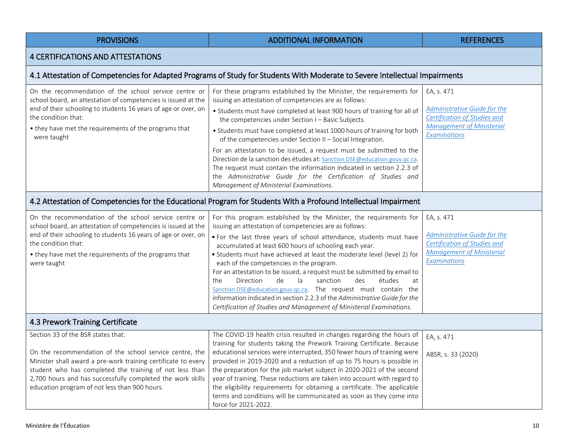<span id="page-15-3"></span><span id="page-15-2"></span><span id="page-15-1"></span><span id="page-15-0"></span>

| <b>PROVISIONS</b>                                                                                                                                                                                                                                                                                                                        | <b>ADDITIONAL INFORMATION</b>                                                                                                                                                                                                                                                                                                                                                                                                                                                                                                                                                                                                                                                                                                                                | <b>REFERENCES</b>                                                                                                                            |
|------------------------------------------------------------------------------------------------------------------------------------------------------------------------------------------------------------------------------------------------------------------------------------------------------------------------------------------|--------------------------------------------------------------------------------------------------------------------------------------------------------------------------------------------------------------------------------------------------------------------------------------------------------------------------------------------------------------------------------------------------------------------------------------------------------------------------------------------------------------------------------------------------------------------------------------------------------------------------------------------------------------------------------------------------------------------------------------------------------------|----------------------------------------------------------------------------------------------------------------------------------------------|
| <b>4 CERTIFICATIONS AND ATTESTATIONS</b>                                                                                                                                                                                                                                                                                                 |                                                                                                                                                                                                                                                                                                                                                                                                                                                                                                                                                                                                                                                                                                                                                              |                                                                                                                                              |
| 4.1 Attestation of Competencies for Adapted Programs of Study for Students With Moderate to Severe Intellectual Impairments                                                                                                                                                                                                              |                                                                                                                                                                                                                                                                                                                                                                                                                                                                                                                                                                                                                                                                                                                                                              |                                                                                                                                              |
| On the recommendation of the school service centre or<br>school board, an attestation of competencies is issued at the<br>end of their schooling to students 16 years of age or over, on<br>the condition that:<br>• they have met the requirements of the programs that<br>were taught                                                  | For these programs established by the Minister, the requirements for<br>issuing an attestation of competencies are as follows:<br>• Students must have completed at least 900 hours of training for all of<br>the competencies under Section I - Basic Subjects.<br>• Students must have completed at least 1000 hours of training for both<br>of the competencies under Section II - Social Integration.<br>For an attestation to be issued, a request must be submitted to the<br>Direction de la sanction des études at: Sanction.DSE@education.gouv.gc.ca.<br>The request must contain the information indicated in section 2.2.3 of<br>the Administrative Guide for the Certification of Studies and<br>Management of Ministerial Examinations.         | EA, s. 471<br><b>Administrative Guide for the</b><br>Certification of Studies and<br><b>Management of Ministerial</b><br><b>Examinations</b> |
| 4.2 Attestation of Competencies for the Educational Program for Students With a Profound Intellectual Impairment                                                                                                                                                                                                                         |                                                                                                                                                                                                                                                                                                                                                                                                                                                                                                                                                                                                                                                                                                                                                              |                                                                                                                                              |
| On the recommendation of the school service centre or<br>school board, an attestation of competencies is issued at the<br>end of their schooling to students 16 years of age or over, on<br>the condition that:<br>• they have met the requirements of the programs that<br>were taught                                                  | For this program established by the Minister, the requirements for<br>issuing an attestation of competencies are as follows:<br>. For the last three years of school attendance, students must have<br>accumulated at least 600 hours of schooling each year.<br>• Students must have achieved at least the moderate level (level 2) for<br>each of the competencies in the program.<br>For an attestation to be issued, a request must be submitted by email to<br>Direction<br>de<br>the<br>la<br>sanction<br>des<br>études<br>at<br>Sanction.DSE@education.gouv.gc.ca. The request must contain the<br>information indicated in section 2.2.3 of the Administrative Guide for the<br>Certification of Studies and Management of Ministerial Examinations. | EA, s. 471<br>Administrative Guide for the<br>Certification of Studies and<br><b>Management of Ministerial</b><br><b>Examinations</b>        |
| 4.3 Prework Training Certificate                                                                                                                                                                                                                                                                                                         |                                                                                                                                                                                                                                                                                                                                                                                                                                                                                                                                                                                                                                                                                                                                                              |                                                                                                                                              |
| Section 33 of the BSR states that:<br>On the recommendation of the school service centre, the<br>Minister shall award a pre-work training certificate to every<br>student who has completed the training of not less than<br>2,700 hours and has successfully completed the work skills<br>education program of not less than 900 hours. | The COVID-19 health crisis resulted in changes regarding the hours of<br>training for students taking the Prework Training Certificate. Because<br>educational services were interrupted, 350 fewer hours of training were<br>provided in 2019-2020 and a reduction of up to 75 hours is possible in<br>the preparation for the job market subject in 2020-2021 of the second<br>year of training. These reductions are taken into account with regard to<br>the eligibility requirements for obtaining a certificate. The applicable<br>terms and conditions will be communicated as soon as they come into<br>force for 2021-2022.                                                                                                                         | EA, s. 471<br>ABSR, s. 33 (2020)                                                                                                             |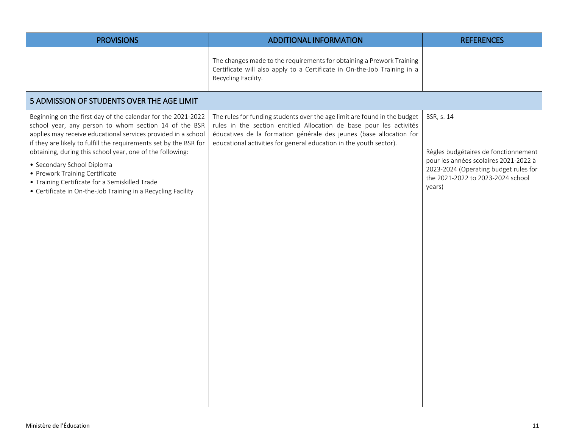<span id="page-16-0"></span>

| <b>PROVISIONS</b>                                                                                                                                                                                                                                                                                                                                                                                                                                                                                          | <b>ADDITIONAL INFORMATION</b>                                                                                                                                                                                                                                                                 | <b>REFERENCES</b>                                                                                                                                                                   |
|------------------------------------------------------------------------------------------------------------------------------------------------------------------------------------------------------------------------------------------------------------------------------------------------------------------------------------------------------------------------------------------------------------------------------------------------------------------------------------------------------------|-----------------------------------------------------------------------------------------------------------------------------------------------------------------------------------------------------------------------------------------------------------------------------------------------|-------------------------------------------------------------------------------------------------------------------------------------------------------------------------------------|
|                                                                                                                                                                                                                                                                                                                                                                                                                                                                                                            | The changes made to the requirements for obtaining a Prework Training<br>Certificate will also apply to a Certificate in On-the-Job Training in a<br>Recycling Facility.                                                                                                                      |                                                                                                                                                                                     |
| 5 ADMISSION OF STUDENTS OVER THE AGE LIMIT                                                                                                                                                                                                                                                                                                                                                                                                                                                                 |                                                                                                                                                                                                                                                                                               |                                                                                                                                                                                     |
| Beginning on the first day of the calendar for the 2021-2022<br>school year, any person to whom section 14 of the BSR<br>applies may receive educational services provided in a school<br>if they are likely to fulfill the requirements set by the BSR for<br>obtaining, during this school year, one of the following:<br>• Secondary School Diploma<br>• Prework Training Certificate<br>• Training Certificate for a Semiskilled Trade<br>• Certificate in On-the-Job Training in a Recycling Facility | The rules for funding students over the age limit are found in the budget<br>rules in the section entitled Allocation de base pour les activités<br>éducatives de la formation générale des jeunes (base allocation for<br>educational activities for general education in the youth sector). | BSR, s. 14<br>Règles budgétaires de fonctionnement<br>pour les années scolaires 2021-2022 à<br>2023-2024 (Operating budget rules for<br>the 2021-2022 to 2023-2024 school<br>years) |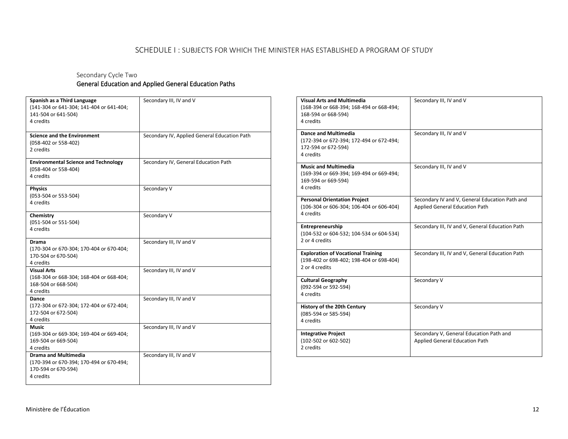#### SCHEDULE I: SUBJECTS FOR WHICH THE MINISTER HAS ESTABLISHED A PROGRAM OF STUDY

#### Secondary Cycle Two

#### General Education and Applied General Education Paths

<span id="page-17-0"></span>

| Spanish as a Third Language<br>(141-304 or 641-304; 141-404 or 641-404;<br>141-504 or 641-504)<br>4 credits | Secondary III, IV and V                      |
|-------------------------------------------------------------------------------------------------------------|----------------------------------------------|
| <b>Science and the Environment</b><br>(058-402 or 558-402)<br>2 credits                                     | Secondary IV, Applied General Education Path |
| <b>Environmental Science and Technology</b><br>(058-404 or 558-404)<br>4 credits                            | Secondary IV, General Education Path         |
| <b>Physics</b><br>(053-504 or 553-504)<br>4 credits                                                         | Secondary V                                  |
| Chemistry<br>(051-504 or 551-504)<br>4 credits                                                              | Secondary V                                  |
| <b>Drama</b><br>(170-304 or 670-304; 170-404 or 670-404;<br>170-504 or 670-504)<br>4 credits                | Secondary III, IV and V                      |
| <b>Visual Arts</b><br>(168-304 or 668-304; 168-404 or 668-404;<br>168-504 or 668-504)<br>4 credits          | Secondary III, IV and V                      |
| Dance<br>(172-304 or 672-304; 172-404 or 672-404;<br>172-504 or 672-504)<br>4 credits                       | Secondary III, IV and V                      |
| Music<br>(169-304 or 669-304; 169-404 or 669-404;<br>169-504 or 669-504)<br>4 credits                       | Secondary III, IV and V                      |
| <b>Drama and Multimedia</b><br>(170-394 or 670-394; 170-494 or 670-494;<br>170-594 or 670-594)<br>4 credits | Secondary III, IV and V                      |

| <b>Visual Arts and Multimedia</b><br>(168-394 or 668-394; 168-494 or 668-494;<br>168-594 or 668-594)<br>4 credits | Secondary III, IV and V                                                                 |
|-------------------------------------------------------------------------------------------------------------------|-----------------------------------------------------------------------------------------|
| <b>Dance and Multimedia</b><br>(172-394 or 672-394; 172-494 or 672-494;<br>172-594 or 672-594)<br>4 credits       | Secondary III, IV and V                                                                 |
| <b>Music and Multimedia</b><br>(169-394 or 669-394; 169-494 or 669-494;<br>169-594 or 669-594)<br>4 credits       | Secondary III, IV and V                                                                 |
| <b>Personal Orientation Project</b><br>(106-304 or 606-304; 106-404 or 606-404)<br>4 credits                      | Secondary IV and V, General Education Path and<br><b>Applied General Education Path</b> |
| Entrepreneurship<br>(104-532 or 604-532; 104-534 or 604-534)<br>2 or 4 credits                                    | Secondary III, IV and V, General Education Path                                         |
| <b>Exploration of Vocational Training</b><br>(198-402 or 698-402; 198-404 or 698-404)<br>2 or 4 credits           | Secondary III, IV and V, General Education Path                                         |
| <b>Cultural Geography</b><br>(092-594 or 592-594)<br>4 credits                                                    | Secondary V                                                                             |
| History of the 20th Century<br>(085-594 or 585-594)<br>4 credits                                                  | Secondary V                                                                             |
| <b>Integrative Project</b><br>(102-502 or 602-502)<br>2 credits                                                   | Secondary V, General Education Path and<br><b>Applied General Education Path</b>        |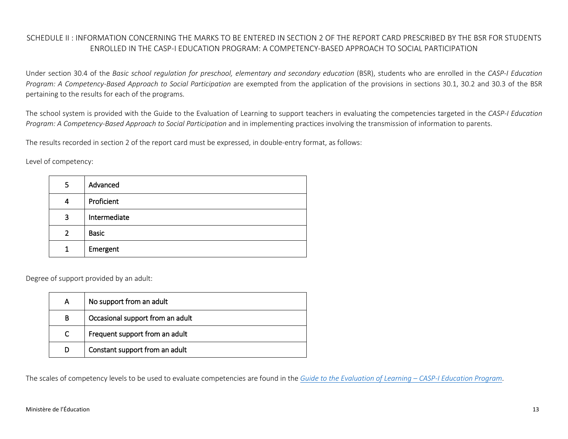# <span id="page-18-0"></span>SCHEDULE II : INFORMATION CONCERNING THE MARKS TO BE ENTERED IN SECTION 2 OF THE REPORT CARD PRESCRIBED BY THE BSR FOR STUDENTS ENROLLED IN THE CASP-I EDUCATION PROGRAM: A COMPETENCY-BASED APPROACH TO SOCIAL PARTICIPATION

Under section 30.4 of the *Basic school regulation for preschool, elementary and secondary education* (BSR), students who are enrolled in the *CASP-I Education Program: A Competency-Based Approach to Social Participation* are exempted from the application of the provisions in sections 30.1, 30.2 and 30.3 of the BSR pertaining to the results for each of the programs.

The school system is provided with the Guide to the Evaluation of Learning to support teachers in evaluating the competencies targeted in the *CASP-I Education Program: A Competency-Based Approach to Social Participation* and in implementing practices involving the transmission of information to parents.

The results recorded in section 2 of the report card must be expressed, in double-entry format, as follows:

Level of competency:

| 5            | Advanced     |
|--------------|--------------|
| 4            | Proficient   |
| 3            | Intermediate |
| $2^{\circ}$  | <b>Basic</b> |
| $\mathbf{1}$ | Emergent     |

Degree of support provided by an adult:

| А | No support from an adult         |
|---|----------------------------------|
| B | Occasional support from an adult |
| C | Frequent support from an adult   |
| D | Constant support from an adult   |

The scales of competency levels to be used to evaluate competencies are found in the *[Guide to the Evaluation of Learning –](http://edut3-prod.education.gouv.qc.ca/fileadmin/site_web/documents/education/adaptation-scolaire-services-comp/Guide_evaluation_CAPS_en.pdf) CASP-I Education Program*.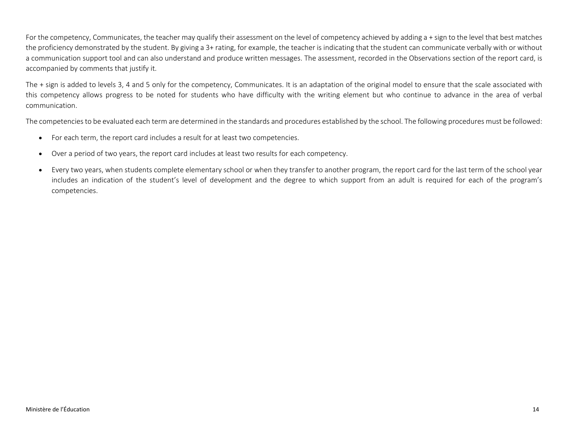For the competency, Communicates, the teacher may qualify their assessment on the level of competency achieved by adding a + sign to the level that best matches the proficiency demonstrated by the student. By giving a 3+ rating, for example, the teacher is indicating that the student can communicate verbally with or without a communication support tool and can also understand and produce written messages. The assessment, recorded in the Observations section of the report card, is accompanied by comments that justify it.

The + sign is added to levels 3, 4 and 5 only for the competency, Communicates. It is an adaptation of the original model to ensure that the scale associated with this competency allows progress to be noted for students who have difficulty with the writing element but who continue to advance in the area of verbal communication.

The competencies to be evaluated each term are determined in the standards and procedures established by the school. The following procedures must be followed:

- For each term, the report card includes a result for at least two competencies.
- Over a period of two years, the report card includes at least two results for each competency.
- Every two years, when students complete elementary school or when they transfer to another program, the report card for the last term of the school year includes an indication of the student's level of development and the degree to which support from an adult is required for each of the program's competencies.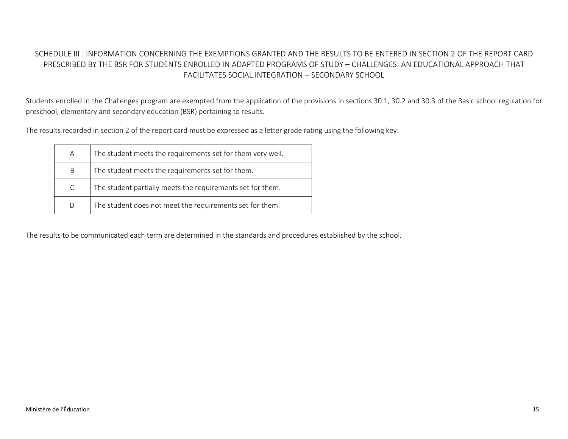# <span id="page-20-0"></span>SCHEDULE III : INFORMATION CONCERNING THE EXEMPTIONS GRANTED AND THE RESULTS TO BE ENTERED IN SECTION 2 OF THE REPORT CARD PRESCRIBED BY THE BSR FOR STUDENTS ENROLLED IN ADAPTED PROGRAMS OF STUDY – CHALLENGES: AN EDUCATIONAL APPROACH THAT FACILITATES SOCIAL INTEGRATION – SECONDARY SCHOOL

Students enrolled in the Challenges program are exempted from the application of the provisions in sections 30.1, 30.2 and 30.3 of the Basic school regulation for preschool, elementary and secondary education (BSR) pertaining to results.

The results recorded in section 2 of the report card must be expressed as a letter grade rating using the following key:

| A | The student meets the requirements set for them very well. |
|---|------------------------------------------------------------|
| B | The student meets the requirements set for them.           |
| C | The student partially meets the requirements set for them. |
| D | The student does not meet the requirements set for them.   |

The results to be communicated each term are determined in the standards and procedures established by the school.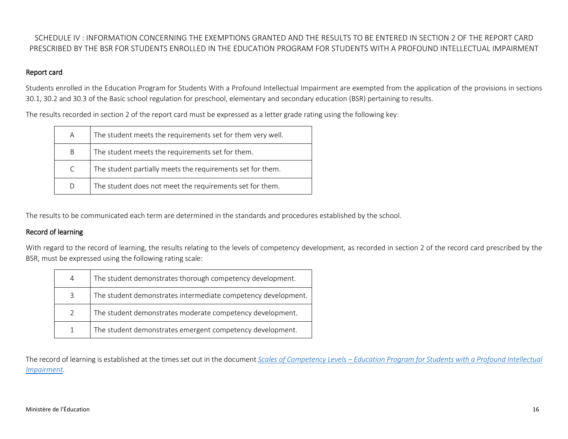# <span id="page-21-0"></span>SCHEDULE IV : INFORMATION CONCERNING THE EXEMPTIONS GRANTED AND THE RESULTS TO BE ENTERED IN SECTION 2 OF THE REPORT CARD PRESCRIBED BY THE BSR FOR STUDENTS ENROLLED IN THE EDUCATION PROGRAM FOR STUDENTS WITH A PROFOUND INTELLECTUAL IMPAIRMENT

#### Report card

Students enrolled in the Education Program for Students With a Profound Intellectual Impairment are exempted from the application of the provisions in sections 30.1, 30.2 and 30.3 of the Basic school regulation for preschool, elementary and secondary education (BSR) pertaining to results.

The results recorded in section 2 of the report card must be expressed as a letter grade rating using the following key:

| A | The student meets the requirements set for them very well. |
|---|------------------------------------------------------------|
| B | The student meets the requirements set for them.           |
| C | The student partially meets the requirements set for them. |
| D | The student does not meet the requirements set for them.   |

The results to be communicated each term are determined in the standards and procedures established by the school.

### Record of learning

With regard to the record of learning, the results relating to the levels of competency development, as recorded in section 2 of the record card prescribed by the BSR, must be expressed using the following rating scale:

| 4 | The student demonstrates thorough competency development.     |
|---|---------------------------------------------------------------|
| 3 | The student demonstrates intermediate competency development. |
| 2 | The student demonstrates moderate competency development.     |
|   | The student demonstrates emergent competency development.     |

The record of learning is established at the times set out in the document *Scales of Competency Levels – [Education Program for Students with a Profound Intellectual](http://www.education.gouv.qc.ca/fileadmin/site_web/documents/dpse/formation_jeunes/EchellesNiveauxCompetence_DeficienceIntellectuelleProfonde_a.pdf)  [Impairment](http://www.education.gouv.qc.ca/fileadmin/site_web/documents/dpse/formation_jeunes/EchellesNiveauxCompetence_DeficienceIntellectuelleProfonde_a.pdf)*.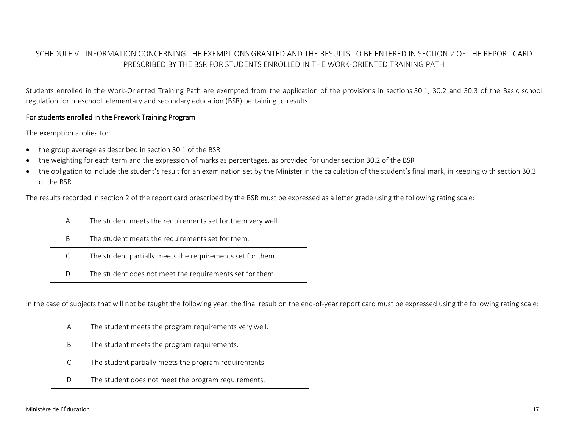# <span id="page-22-0"></span>SCHEDULE V : INFORMATION CONCERNING THE EXEMPTIONS GRANTED AND THE RESULTS TO BE ENTERED IN SECTION 2 OF THE REPORT CARD PRESCRIBED BY THE BSR FOR STUDENTS ENROLLED IN THE WORK-ORIENTED TRAINING PATH

Students enrolled in the Work-Oriented Training Path are exempted from the application of the provisions in sections 30.1, 30.2 and 30.3 of the Basic school regulation for preschool, elementary and secondary education (BSR) pertaining to results.

### For students enrolled in the Prework Training Program

The exemption applies to:

- the group average as described in section 30.1 of the BSR
- the weighting for each term and the expression of marks as percentages, as provided for under section 30.2 of the BSR
- the obligation to include the student's result for an examination set by the Minister in the calculation of the student's final mark, in keeping with section 30.3 of the BSR

The results recorded in section 2 of the report card prescribed by the BSR must be expressed as a letter grade using the following rating scale:

| A | The student meets the requirements set for them very well. |
|---|------------------------------------------------------------|
| B | The student meets the requirements set for them.           |
| C | The student partially meets the requirements set for them. |
| D | The student does not meet the requirements set for them.   |

In the case of subjects that will not be taught the following year, the final result on the end-of-year report card must be expressed using the following rating scale:

| A | The student meets the program requirements very well. |
|---|-------------------------------------------------------|
| B | The student meets the program requirements.           |
| C | The student partially meets the program requirements. |
| D | The student does not meet the program requirements.   |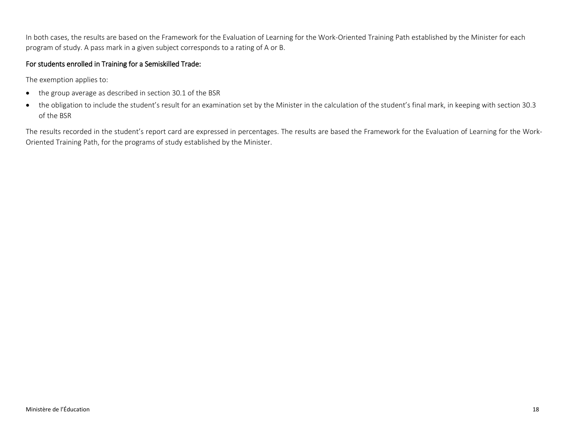In both cases, the results are based on the Framework for the Evaluation of Learning for the Work-Oriented Training Path established by the Minister for each program of study. A pass mark in a given subject corresponds to a rating of A or B.

## For students enrolled in Training for a Semiskilled Trade:

The exemption applies to:

- the group average as described in section 30.1 of the BSR
- the obligation to include the student's result for an examination set by the Minister in the calculation of the student's final mark, in keeping with section 30.3 of the BSR

The results recorded in the student's report card are expressed in percentages. The results are based the Framework for the Evaluation of Learning for the Work-Oriented Training Path, for the programs of study established by the Minister.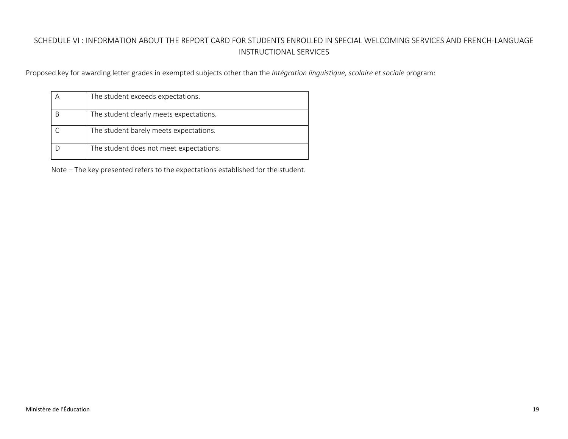# <span id="page-24-0"></span>SCHEDULE VI : INFORMATION ABOUT THE REPORT CARD FOR STUDENTS ENROLLED IN SPECIAL WELCOMING SERVICES AND FRENCH-LANGUAGE INSTRUCTIONAL SERVICES

Proposed key for awarding letter grades in exempted subjects other than the *Intégration linguistique, scolaire et sociale* program:

| The student exceeds expectations.       |
|-----------------------------------------|
| The student clearly meets expectations. |
| The student barely meets expectations.  |
| The student does not meet expectations. |

Note – The key presented refers to the expectations established for the student.